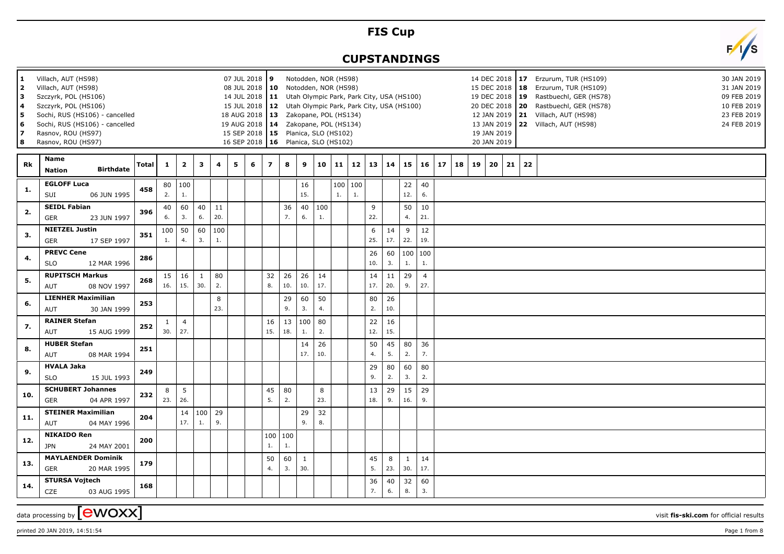## **FIS Cup**

## **CUPSTANDINGS**

**9** Notodden, NOR (HS98)



data processing by **CWOXX** wisit **fis-ski.com** for official results

**1** Villach, AUT (HS98)

**Rk**



**17** Erzurum, TUR (HS109) 30 JAN 2019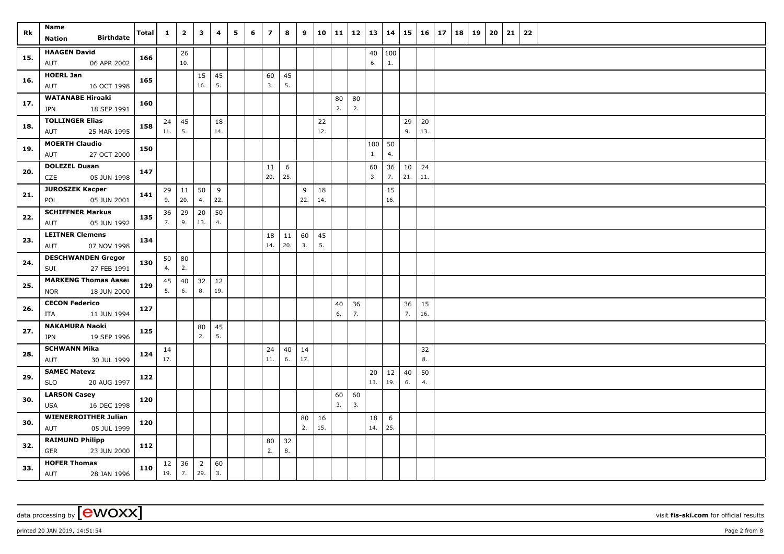| Rk  | Name<br><b>Birthdate</b><br><b>Nation</b>                | <b>Total</b> | $\mathbf{1}$ | $\overline{\mathbf{2}}$ | $\mathbf{3}$          | 4         | 5 | 6 | $\overline{z}$ | 8         | 9         | 10        | 11       | $12 \mid 13$ |           | 14                     | 15        | 16        | 17 | 18 | 19 | 20 | 21 | 22 |  |
|-----|----------------------------------------------------------|--------------|--------------|-------------------------|-----------------------|-----------|---|---|----------------|-----------|-----------|-----------|----------|--------------|-----------|------------------------|-----------|-----------|----|----|----|----|----|----|--|
| 15. | <b>HAAGEN David</b><br>06 APR 2002<br>AUT                | 166          |              | 26<br>10.               |                       |           |   |   |                |           |           |           |          |              | 40<br>6.  | 100<br>1.              |           |           |    |    |    |    |    |    |  |
| 16. | <b>HOERL Jan</b><br>16 OCT 1998<br>AUT                   | 165          |              |                         | 15<br>16.             | 45<br>5.  |   |   | 60<br>3.       | 45<br>5.  |           |           |          |              |           |                        |           |           |    |    |    |    |    |    |  |
| 17. | <b>WATANABE Hiroaki</b><br>18 SEP 1991<br><b>JPN</b>     | 160          |              |                         |                       |           |   |   |                |           |           |           | 80<br>2. | 80<br>2.     |           |                        |           |           |    |    |    |    |    |    |  |
| 18. | <b>TOLLINGER Elias</b><br>AUT<br>25 MAR 1995             | 158          | 24<br>11.    | 45<br>5.                |                       | 18<br>14. |   |   |                |           |           | 22<br>12. |          |              |           |                        | 29<br>9.  | 20<br>13. |    |    |    |    |    |    |  |
| 19. | <b>MOERTH Claudio</b><br>AUT<br>27 OCT 2000              | 150          |              |                         |                       |           |   |   |                |           |           |           |          |              | 100<br>1. | 50<br>4.               |           |           |    |    |    |    |    |    |  |
| 20. | <b>DOLEZEL Dusan</b><br>CZE<br>05 JUN 1998               | 147          |              |                         |                       |           |   |   | 11<br>20.      | 6<br>25.  |           |           |          |              | 60<br>3.  | 36<br>7.               | 10<br>21. | 24<br>11. |    |    |    |    |    |    |  |
| 21. | <b>JUROSZEK Kacper</b><br>05 JUN 2001<br>POL             | 141          | 29<br>9.     | 11<br>20.               | 50<br>4.              | 9<br>22.  |   |   |                |           | 9<br>22.  | 18<br>14. |          |              |           | 15<br>16.              |           |           |    |    |    |    |    |    |  |
| 22. | <b>SCHIFFNER Markus</b><br>AUT<br>05 JUN 1992            | 135          | 36<br>7.     | 29<br>9.                | 20<br>13.             | 50<br>4.  |   |   |                |           |           |           |          |              |           |                        |           |           |    |    |    |    |    |    |  |
| 23. | <b>LEITNER Clemens</b><br>07 NOV 1998<br>AUT             | 134          |              |                         |                       |           |   |   | 18<br>14.      | 11<br>20. | 60<br>3.  | 45<br>5.  |          |              |           |                        |           |           |    |    |    |    |    |    |  |
| 24. | <b>DESCHWANDEN Gregor</b><br>SUI<br>27 FEB 1991          | 130          | 50<br>4.     | 80<br>2.                |                       |           |   |   |                |           |           |           |          |              |           |                        |           |           |    |    |    |    |    |    |  |
| 25. | <b>MARKENG Thomas Aaser</b><br>18 JUN 2000<br><b>NOR</b> | 129          | 45<br>5.     | 40<br>6.                | 32<br>8.              | 12<br>19. |   |   |                |           |           |           |          |              |           |                        |           |           |    |    |    |    |    |    |  |
| 26. | <b>CECON Federico</b><br>11 JUN 1994<br><b>ITA</b>       | 127          |              |                         |                       |           |   |   |                |           |           |           | 40<br>6. | 36<br>7.     |           |                        | 36<br>7.  | 15<br>16. |    |    |    |    |    |    |  |
| 27. | <b>NAKAMURA Naoki</b><br>19 SEP 1996<br><b>JPN</b>       | 125          |              |                         | 80<br>2.              | 45<br>5.  |   |   |                |           |           |           |          |              |           |                        |           |           |    |    |    |    |    |    |  |
| 28. | <b>SCHWANN Mika</b><br>30 JUL 1999<br>AUT                | 124          | 14<br>17.    |                         |                       |           |   |   | 24<br>11.      | 40<br>6.  | 14<br>17. |           |          |              |           |                        |           | 32<br>8.  |    |    |    |    |    |    |  |
| 29. | <b>SAMEC Matevz</b><br>20 AUG 1997<br><b>SLO</b>         | 122          |              |                         |                       |           |   |   |                |           |           |           |          |              | 20<br>13. | 12<br>19.              | 40<br>6.  | 50<br>4.  |    |    |    |    |    |    |  |
| 30. | <b>LARSON Casey</b><br>16 DEC 1998<br><b>USA</b>         | 120          |              |                         |                       |           |   |   |                |           |           |           | 60<br>3. | 60<br>3.     |           |                        |           |           |    |    |    |    |    |    |  |
| 30. | <b>WIENERROITHER Julian</b><br>05 JUL 1999<br>AUT        | 120          |              |                         |                       |           |   |   |                |           | 80<br>2.  | 16<br>15. |          |              | 18<br>14. | $6\phantom{.}6$<br>25. |           |           |    |    |    |    |    |    |  |
| 32. | <b>RAIMUND Philipp</b><br><b>GER</b><br>23 JUN 2000      | 112          |              |                         |                       |           |   |   | 80<br>2.       | 32<br>8.  |           |           |          |              |           |                        |           |           |    |    |    |    |    |    |  |
| 33. | <b>HOFER Thomas</b><br>AUT<br>28 JAN 1996                | 110          | 12<br>19.    | 36<br>7.                | $\overline{2}$<br>29. | 60<br>3.  |   |   |                |           |           |           |          |              |           |                        |           |           |    |    |    |    |    |    |  |

data processing by **CWOXX** visit **fis-ski.com** for official results

printed 20 JAN 2019, 14:51:54 **Page 2** from 8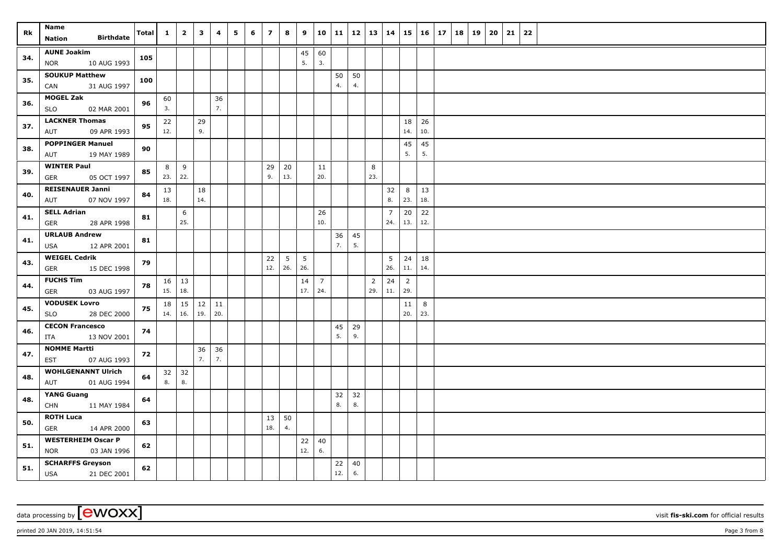| Rk  | Name<br><b>Birthdate</b><br><b>Nation</b>     | <b>Total</b> | $\mathbf{1}$ | $\overline{\mathbf{2}}$     | $\overline{\mathbf{3}}$ | 4         | 5 | 6 | $\overline{z}$ | 8                      | 9         | 10                    | 11       | 12 | 13                    | 14             |                       | $15 \mid 16$ | 17 | 18 | 19 | 20 | 21 | 22 |  |
|-----|-----------------------------------------------|--------------|--------------|-----------------------------|-------------------------|-----------|---|---|----------------|------------------------|-----------|-----------------------|----------|----|-----------------------|----------------|-----------------------|--------------|----|----|----|----|----|----|--|
|     | <b>AUNE Joakim</b>                            |              |              |                             |                         |           |   |   |                |                        |           |                       |          |    |                       |                |                       |              |    |    |    |    |    |    |  |
| 34. | 10 AUG 1993<br><b>NOR</b>                     | 105          |              |                             |                         |           |   |   |                |                        | 45<br>5.  | 60<br>3.              |          |    |                       |                |                       |              |    |    |    |    |    |    |  |
|     | <b>SOUKUP Matthew</b>                         |              |              |                             |                         |           |   |   |                |                        |           |                       | 50       | 50 |                       |                |                       |              |    |    |    |    |    |    |  |
| 35. | CAN<br>31 AUG 1997                            | 100          |              |                             |                         |           |   |   |                |                        |           |                       | 4.       | 4. |                       |                |                       |              |    |    |    |    |    |    |  |
|     | <b>MOGEL Zak</b>                              |              | 60           |                             |                         | 36        |   |   |                |                        |           |                       |          |    |                       |                |                       |              |    |    |    |    |    |    |  |
| 36. | <b>SLO</b><br>02 MAR 2001                     | 96           | 3.           |                             |                         | 7.        |   |   |                |                        |           |                       |          |    |                       |                |                       |              |    |    |    |    |    |    |  |
| 37. | <b>LACKNER Thomas</b>                         | 95           | 22           |                             | 29                      |           |   |   |                |                        |           |                       |          |    |                       |                | 18                    | 26           |    |    |    |    |    |    |  |
|     | 09 APR 1993<br>AUT                            |              | 12.          |                             | 9.                      |           |   |   |                |                        |           |                       |          |    |                       |                | 14.                   | 10.          |    |    |    |    |    |    |  |
| 38. | <b>POPPINGER Manuel</b>                       | 90           |              |                             |                         |           |   |   |                |                        |           |                       |          |    |                       |                | 45                    | 45           |    |    |    |    |    |    |  |
|     | 19 MAY 1989<br>AUT                            |              |              |                             |                         |           |   |   |                |                        |           |                       |          |    |                       |                | 5.                    | 5.           |    |    |    |    |    |    |  |
| 39. | <b>WINTER Paul</b>                            | 85           | 8            | 9                           |                         |           |   |   | 29             | 20                     |           | 11                    |          |    | 8                     |                |                       |              |    |    |    |    |    |    |  |
|     | <b>GER</b><br>05 OCT 1997                     |              | 23.          | 22.                         |                         |           |   |   | 9.             | 13.                    |           | 20.                   |          |    | 23.                   |                |                       |              |    |    |    |    |    |    |  |
| 40. | <b>REISENAUER Janni</b>                       | 84           | 13           |                             | 18                      |           |   |   |                |                        |           |                       |          |    |                       | 32             | $8\phantom{1}$        | 13           |    |    |    |    |    |    |  |
|     | 07 NOV 1997<br>AUT                            |              | 18.          |                             | 14.                     |           |   |   |                |                        |           |                       |          |    |                       | 8.             | 23.                   | 18.          |    |    |    |    |    |    |  |
| 41. | <b>SELL Adrian</b>                            | 81           |              | 6                           |                         |           |   |   |                |                        |           | 26                    |          |    |                       | $\overline{7}$ | 20                    | 22           |    |    |    |    |    |    |  |
|     | 28 APR 1998<br>GER                            |              |              | 25.                         |                         |           |   |   |                |                        |           | 10.                   |          |    |                       | 24.            | 13.                   | 12.          |    |    |    |    |    |    |  |
| 41. | <b>URLAUB Andrew</b>                          | 81           |              |                             |                         |           |   |   |                |                        |           |                       | 36       | 45 |                       |                |                       |              |    |    |    |    |    |    |  |
|     | 12 APR 2001<br>USA                            |              |              |                             |                         |           |   |   |                |                        |           |                       | 7.       | 5. |                       |                |                       |              |    |    |    |    |    |    |  |
| 43. | <b>WEIGEL Cedrik</b>                          | 79           |              |                             |                         |           |   |   | 22<br>12.      | $5\overline{)}$<br>26. | 5<br>26.  |                       |          |    |                       | 5<br>26.       | 24<br>11.             | 18<br>14.    |    |    |    |    |    |    |  |
|     | <b>GER</b><br>15 DEC 1998                     |              |              |                             |                         |           |   |   |                |                        |           |                       |          |    |                       |                |                       |              |    |    |    |    |    |    |  |
| 44. | <b>FUCHS Tim</b><br><b>GER</b><br>03 AUG 1997 | 78           | 15.          | $16 \mid 13$<br>18.         |                         |           |   |   |                |                        | 14<br>17. | $\overline{7}$<br>24. |          |    | $\overline{2}$<br>29. | 24<br>11.      | $\overline{2}$<br>29. |              |    |    |    |    |    |    |  |
|     | <b>VODUSEK Lovro</b>                          |              |              |                             |                         |           |   |   |                |                        |           |                       |          |    |                       |                |                       |              |    |    |    |    |    |    |  |
| 45. | 28 DEC 2000<br><b>SLO</b>                     | 75           | 14.          | $18 \mid 15$<br>$\vert$ 16. | 12<br>19.               | 11<br>20. |   |   |                |                        |           |                       |          |    |                       |                | 11<br>20.             | 8<br>23.     |    |    |    |    |    |    |  |
|     | <b>CECON Francesco</b>                        |              |              |                             |                         |           |   |   |                |                        |           |                       |          | 29 |                       |                |                       |              |    |    |    |    |    |    |  |
| 46. | 13 NOV 2001<br>ITA                            | 74           |              |                             |                         |           |   |   |                |                        |           |                       | 45<br>5. | 9. |                       |                |                       |              |    |    |    |    |    |    |  |
|     | <b>NOMME Martti</b>                           |              |              |                             | 36                      | 36        |   |   |                |                        |           |                       |          |    |                       |                |                       |              |    |    |    |    |    |    |  |
| 47. | 07 AUG 1993<br><b>EST</b>                     | 72           |              |                             | 7.                      | 7.        |   |   |                |                        |           |                       |          |    |                       |                |                       |              |    |    |    |    |    |    |  |
| 48. | <b>WOHLGENANNT Ulrich</b>                     | 64           | 32           | 32                          |                         |           |   |   |                |                        |           |                       |          |    |                       |                |                       |              |    |    |    |    |    |    |  |
|     | 01 AUG 1994<br>AUT                            |              | 8.           | 8.                          |                         |           |   |   |                |                        |           |                       |          |    |                       |                |                       |              |    |    |    |    |    |    |  |
| 48. | <b>YANG Guang</b>                             |              |              |                             |                         |           |   |   |                |                        |           |                       | 32       | 32 |                       |                |                       |              |    |    |    |    |    |    |  |
|     | <b>CHN</b><br>11 MAY 1984                     | 64           |              |                             |                         |           |   |   |                |                        |           |                       | 8.       | 8. |                       |                |                       |              |    |    |    |    |    |    |  |
| 50. | <b>ROTH Luca</b>                              | 63           |              |                             |                         |           |   |   | 13             | 50                     |           |                       |          |    |                       |                |                       |              |    |    |    |    |    |    |  |
|     | <b>GER</b><br>14 APR 2000                     |              |              |                             |                         |           |   |   | 18.            | 4.                     |           |                       |          |    |                       |                |                       |              |    |    |    |    |    |    |  |
| 51. | <b>WESTERHEIM Oscar P</b>                     | 62           |              |                             |                         |           |   |   |                |                        | 22        | 40                    |          |    |                       |                |                       |              |    |    |    |    |    |    |  |
|     | <b>NOR</b><br>03 JAN 1996                     |              |              |                             |                         |           |   |   |                |                        | 12.       | 6.                    |          |    |                       |                |                       |              |    |    |    |    |    |    |  |
| 51. | <b>SCHARFFS Greyson</b>                       | 62           |              |                             |                         |           |   |   |                |                        |           |                       | 22       | 40 |                       |                |                       |              |    |    |    |    |    |    |  |
|     | <b>USA</b><br>21 DEC 2001                     |              |              |                             |                         |           |   |   |                |                        |           |                       | 12.      | 6. |                       |                |                       |              |    |    |    |    |    |    |  |

printed 20 JAN 2019, 14:51:54 **Page 3** from 8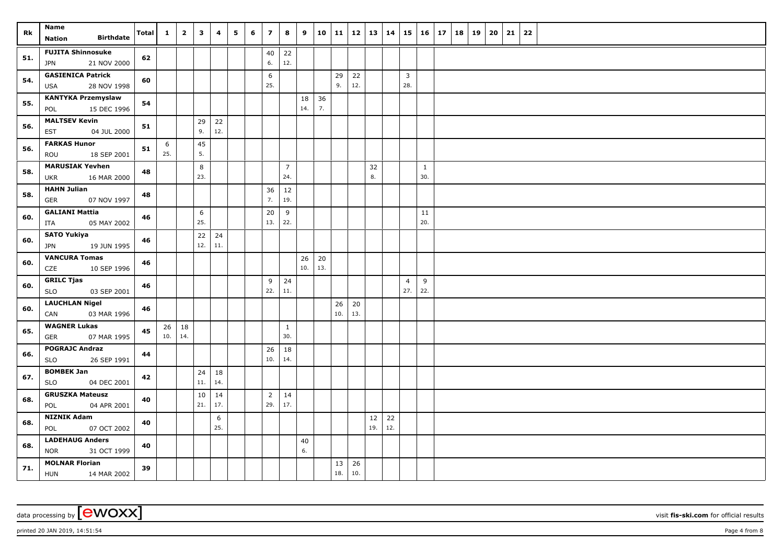| Rk  | Name<br><b>Birthdate</b>                           | Total | $\mathbf{1}$ | $\overline{\mathbf{2}}$ | $\overline{\mathbf{3}}$ | 4         | 5 | 6 | $\overline{z}$ | 8              | 9        | 10  | 11        | $12$   13   14 |           |           | $15 \vert$     | $16 \mid 17$ |  | 18 19 | 20 | 21 | 22 |  |
|-----|----------------------------------------------------|-------|--------------|-------------------------|-------------------------|-----------|---|---|----------------|----------------|----------|-----|-----------|----------------|-----------|-----------|----------------|--------------|--|-------|----|----|----|--|
|     | <b>Nation</b>                                      |       |              |                         |                         |           |   |   |                |                |          |     |           |                |           |           |                |              |  |       |    |    |    |  |
| 51. | <b>FUJITA Shinnosuke</b><br>21 NOV 2000<br>JPN     | 62    |              |                         |                         |           |   |   | 40<br>6.       | 22<br>12.      |          |     |           |                |           |           |                |              |  |       |    |    |    |  |
|     | <b>GASIENICA Patrick</b>                           |       |              |                         |                         |           |   |   | 6              |                |          |     | 29        | 22             |           |           | $\overline{3}$ |              |  |       |    |    |    |  |
| 54. | 28 NOV 1998<br>USA                                 | 60    |              |                         |                         |           |   |   | 25.            |                |          |     | 9.        | 12.            |           |           | 28.            |              |  |       |    |    |    |  |
| 55. | <b>KANTYKA Przemyslaw</b>                          | 54    |              |                         |                         |           |   |   |                |                | 18       | 36  |           |                |           |           |                |              |  |       |    |    |    |  |
|     | 15 DEC 1996<br>POL                                 |       |              |                         |                         |           |   |   |                |                | 14.      | 7.  |           |                |           |           |                |              |  |       |    |    |    |  |
| 56. | <b>MALTSEV Kevin</b><br><b>EST</b><br>04 JUL 2000  | 51    |              |                         | 29<br>9.                | 22<br>12. |   |   |                |                |          |     |           |                |           |           |                |              |  |       |    |    |    |  |
|     | <b>FARKAS Hunor</b>                                | 51    | 6            |                         | 45                      |           |   |   |                |                |          |     |           |                |           |           |                |              |  |       |    |    |    |  |
| 56. | 18 SEP 2001<br>ROU                                 |       | 25.          |                         | 5.                      |           |   |   |                |                |          |     |           |                |           |           |                |              |  |       |    |    |    |  |
| 58. | <b>MARUSIAK Yevhen</b>                             | 48    |              |                         | 8                       |           |   |   |                | $\overline{7}$ |          |     |           |                | 32        |           |                | $\mathbf{1}$ |  |       |    |    |    |  |
|     | <b>UKR</b><br>16 MAR 2000                          |       |              |                         | 23.                     |           |   |   |                | 24.            |          |     |           |                | 8.        |           |                | 30.          |  |       |    |    |    |  |
| 58. | <b>HAHN Julian</b><br><b>GER</b><br>07 NOV 1997    | 48    |              |                         |                         |           |   |   | 36<br>7.       | $12$<br>19.    |          |     |           |                |           |           |                |              |  |       |    |    |    |  |
|     | <b>GALIANI Mattia</b>                              |       |              |                         | 6                       |           |   |   | 20             | 9              |          |     |           |                |           |           |                | 11           |  |       |    |    |    |  |
| 60. | 05 MAY 2002<br>ITA                                 | 46    |              |                         | 25.                     |           |   |   | 13.            | 22.            |          |     |           |                |           |           |                | 20.          |  |       |    |    |    |  |
|     | <b>SATO Yukiya</b>                                 |       |              |                         | 22                      | 24        |   |   |                |                |          |     |           |                |           |           |                |              |  |       |    |    |    |  |
| 60. | 19 JUN 1995<br><b>JPN</b>                          | 46    |              |                         | 12.                     | 11.       |   |   |                |                |          |     |           |                |           |           |                |              |  |       |    |    |    |  |
| 60. | <b>VANCURA Tomas</b>                               | 46    |              |                         |                         |           |   |   |                |                | 26       | 20  |           |                |           |           |                |              |  |       |    |    |    |  |
|     | CZE<br>10 SEP 1996                                 |       |              |                         |                         |           |   |   |                |                | 10.      | 13. |           |                |           |           |                |              |  |       |    |    |    |  |
| 60. | <b>GRILC Tjas</b>                                  | 46    |              |                         |                         |           |   |   | 9              | 24             |          |     |           |                |           |           | $\overline{4}$ | 9<br>22.     |  |       |    |    |    |  |
|     | <b>SLO</b><br>03 SEP 2001                          |       |              |                         |                         |           |   |   | 22.            | 11.            |          |     |           |                |           |           | 27.            |              |  |       |    |    |    |  |
| 60. | <b>LAUCHLAN Nigel</b><br>CAN<br>03 MAR 1996        | 46    |              |                         |                         |           |   |   |                |                |          |     | 26<br>10. | 20<br>13.      |           |           |                |              |  |       |    |    |    |  |
|     | <b>WAGNER Lukas</b>                                |       |              | 18                      |                         |           |   |   |                | 1              |          |     |           |                |           |           |                |              |  |       |    |    |    |  |
| 65. | <b>GER</b><br>07 MAR 1995                          | 45    | 26<br>10.    | 14.                     |                         |           |   |   |                | 30.            |          |     |           |                |           |           |                |              |  |       |    |    |    |  |
|     | <b>POGRAJC Andraz</b>                              |       |              |                         |                         |           |   |   | 26             | 18             |          |     |           |                |           |           |                |              |  |       |    |    |    |  |
| 66. | 26 SEP 1991<br><b>SLO</b>                          | 44    |              |                         |                         |           |   |   | 10.            | 14.            |          |     |           |                |           |           |                |              |  |       |    |    |    |  |
| 67. | <b>BOMBEK Jan</b>                                  | 42    |              |                         | 24                      | 18        |   |   |                |                |          |     |           |                |           |           |                |              |  |       |    |    |    |  |
|     | <b>SLO</b><br>04 DEC 2001                          |       |              |                         | 11.                     | 14.       |   |   |                |                |          |     |           |                |           |           |                |              |  |       |    |    |    |  |
| 68. | <b>GRUSZKA Mateusz</b>                             | 40    |              |                         | 10                      | 14        |   |   | $\overline{2}$ | 14             |          |     |           |                |           |           |                |              |  |       |    |    |    |  |
|     | 04 APR 2001<br>POL                                 |       |              |                         | 21.                     | 17.       |   |   | 29.            | 17.            |          |     |           |                |           |           |                |              |  |       |    |    |    |  |
| 68. | <b>NIZNIK Adam</b>                                 | 40    |              |                         |                         | 6<br>25.  |   |   |                |                |          |     |           |                | 12<br>19. | 22<br>12. |                |              |  |       |    |    |    |  |
|     | 07 OCT 2002<br>POL<br><b>LADEHAUG Anders</b>       |       |              |                         |                         |           |   |   |                |                |          |     |           |                |           |           |                |              |  |       |    |    |    |  |
| 68. | <b>NOR</b><br>31 OCT 1999                          | 40    |              |                         |                         |           |   |   |                |                | 40<br>6. |     |           |                |           |           |                |              |  |       |    |    |    |  |
| 71. | <b>MOLNAR Florian</b><br><b>HUN</b><br>14 MAR 2002 | 39    |              |                         |                         |           |   |   |                |                |          |     | 13<br>18. | 26<br>10.      |           |           |                |              |  |       |    |    |    |  |

printed 20 JAN 2019, 14:51:54 **Page 4** from 8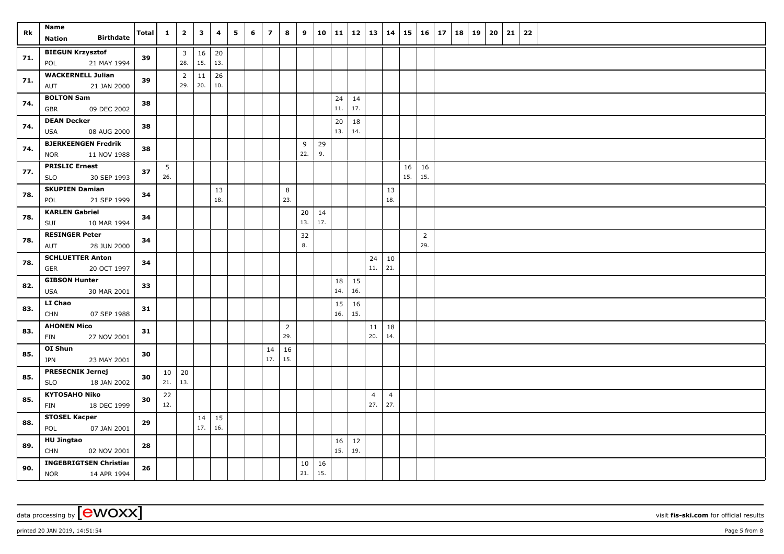| Rk  | Name                                        | Total | $\mathbf{1}$ | $\overline{\mathbf{2}}$        | $\mathbf{3}$ | 4         | 5 | 6 | $\overline{7}$ | 8                     | 9         | 10        | 11  |     | 12   13        | 14             |                     | $15 \mid 16 \mid$ | 17 | 18 | 19 | 20 | 21 | 22 |  |
|-----|---------------------------------------------|-------|--------------|--------------------------------|--------------|-----------|---|---|----------------|-----------------------|-----------|-----------|-----|-----|----------------|----------------|---------------------|-------------------|----|----|----|----|----|----|--|
|     | <b>Birthdate</b><br>Nation                  |       |              |                                |              |           |   |   |                |                       |           |           |     |     |                |                |                     |                   |    |    |    |    |    |    |  |
| 71. | <b>BIEGUN Krzysztof</b><br>21 MAY 1994      | 39    |              | $\overline{\mathbf{3}}$<br>28. | 16<br>15.    | 20<br>13. |   |   |                |                       |           |           |     |     |                |                |                     |                   |    |    |    |    |    |    |  |
|     | POL<br><b>WACKERNELL Julian</b>             |       |              |                                |              |           |   |   |                |                       |           |           |     |     |                |                |                     |                   |    |    |    |    |    |    |  |
| 71. | 21 JAN 2000<br>AUT                          | 39    |              | $\overline{2}$<br>29.          | 11<br>20.    | 26<br>10. |   |   |                |                       |           |           |     |     |                |                |                     |                   |    |    |    |    |    |    |  |
|     | <b>BOLTON Sam</b>                           |       |              |                                |              |           |   |   |                |                       |           |           | 24  | 14  |                |                |                     |                   |    |    |    |    |    |    |  |
| 74. | 09 DEC 2002<br><b>GBR</b>                   | 38    |              |                                |              |           |   |   |                |                       |           |           | 11. | 17. |                |                |                     |                   |    |    |    |    |    |    |  |
| 74. | <b>DEAN Decker</b>                          | 38    |              |                                |              |           |   |   |                |                       |           |           | 20  | 18  |                |                |                     |                   |    |    |    |    |    |    |  |
|     | USA<br>08 AUG 2000                          |       |              |                                |              |           |   |   |                |                       |           |           | 13. | 14. |                |                |                     |                   |    |    |    |    |    |    |  |
| 74. | <b>BJERKEENGEN Fredrik</b>                  | 38    |              |                                |              |           |   |   |                |                       | 9         | 29        |     |     |                |                |                     |                   |    |    |    |    |    |    |  |
|     | 11 NOV 1988<br>NOR                          |       |              |                                |              |           |   |   |                |                       | 22.       | 9.        |     |     |                |                |                     |                   |    |    |    |    |    |    |  |
| 77. | <b>PRISLIC Ernest</b><br>30 SEP 1993<br>SLO | 37    | 5<br>26.     |                                |              |           |   |   |                |                       |           |           |     |     |                |                | $16 \mid 16$<br>15. | 15.               |    |    |    |    |    |    |  |
|     | <b>SKUPIEN Damian</b>                       |       |              |                                |              | 13        |   |   |                | 8                     |           |           |     |     |                | 13             |                     |                   |    |    |    |    |    |    |  |
| 78. | 21 SEP 1999<br>POL                          | 34    |              |                                |              | 18.       |   |   |                | 23.                   |           |           |     |     |                | 18.            |                     |                   |    |    |    |    |    |    |  |
|     | <b>KARLEN Gabriel</b>                       |       |              |                                |              |           |   |   |                |                       | 20        | 14        |     |     |                |                |                     |                   |    |    |    |    |    |    |  |
| 78. | 10 MAR 1994<br>SUI                          | 34    |              |                                |              |           |   |   |                |                       | 13.       | 17.       |     |     |                |                |                     |                   |    |    |    |    |    |    |  |
| 78. | <b>RESINGER Peter</b>                       | 34    |              |                                |              |           |   |   |                |                       | 32        |           |     |     |                |                |                     | $\overline{2}$    |    |    |    |    |    |    |  |
|     | 28 JUN 2000<br>AUT                          |       |              |                                |              |           |   |   |                |                       | 8.        |           |     |     |                |                |                     | 29.               |    |    |    |    |    |    |  |
| 78. | <b>SCHLUETTER Anton</b>                     | 34    |              |                                |              |           |   |   |                |                       |           |           |     |     | 24             | 10             |                     |                   |    |    |    |    |    |    |  |
|     | 20 OCT 1997<br><b>GER</b>                   |       |              |                                |              |           |   |   |                |                       |           |           |     |     | 11.            | 21.            |                     |                   |    |    |    |    |    |    |  |
| 82. | <b>GIBSON Hunter</b>                        | 33    |              |                                |              |           |   |   |                |                       |           |           | 18  | 15  |                |                |                     |                   |    |    |    |    |    |    |  |
|     | 30 MAR 2001<br>USA                          |       |              |                                |              |           |   |   |                |                       |           |           | 14. | 16. |                |                |                     |                   |    |    |    |    |    |    |  |
| 83. | LI Chao                                     | 31    |              |                                |              |           |   |   |                |                       |           |           | 15  | 16  |                |                |                     |                   |    |    |    |    |    |    |  |
|     | <b>CHN</b><br>07 SEP 1988                   |       |              |                                |              |           |   |   |                |                       |           |           | 16. | 15. |                |                |                     |                   |    |    |    |    |    |    |  |
| 83. | <b>AHONEN Mico</b><br>27 NOV 2001<br>FIN    | 31    |              |                                |              |           |   |   |                | $\overline{2}$<br>29. |           |           |     |     | 11<br>20.      | 18<br>14.      |                     |                   |    |    |    |    |    |    |  |
|     | OI Shun                                     |       |              |                                |              |           |   |   | 14             | 16                    |           |           |     |     |                |                |                     |                   |    |    |    |    |    |    |  |
| 85. | 23 MAY 2001<br>JPN                          | 30    |              |                                |              |           |   |   | 17.            | 15.                   |           |           |     |     |                |                |                     |                   |    |    |    |    |    |    |  |
| 85. | <b>PRESECNIK Jernej</b>                     | 30    | $10 \mid 20$ |                                |              |           |   |   |                |                       |           |           |     |     |                |                |                     |                   |    |    |    |    |    |    |  |
|     | 18 JAN 2002<br>SLO                          |       | 21.          | 13.                            |              |           |   |   |                |                       |           |           |     |     |                |                |                     |                   |    |    |    |    |    |    |  |
| 85. | <b>KYTOSAHO Niko</b>                        | 30    | 22           |                                |              |           |   |   |                |                       |           |           |     |     | $\overline{4}$ | $\overline{4}$ |                     |                   |    |    |    |    |    |    |  |
|     | FIN<br>18 DEC 1999                          |       | 12.          |                                |              |           |   |   |                |                       |           |           |     |     | 27.            | 27.            |                     |                   |    |    |    |    |    |    |  |
| 88. | <b>STOSEL Kacper</b>                        | 29    |              |                                | 14           | 15        |   |   |                |                       |           |           |     |     |                |                |                     |                   |    |    |    |    |    |    |  |
|     | POL<br>07 JAN 2001                          |       |              |                                | 17.          | 16.       |   |   |                |                       |           |           |     |     |                |                |                     |                   |    |    |    |    |    |    |  |
| 89. | <b>HU Jingtao</b>                           | 28    |              |                                |              |           |   |   |                |                       |           |           | 16  | 12  |                |                |                     |                   |    |    |    |    |    |    |  |
|     | <b>CHN</b><br>02 NOV 2001                   |       |              |                                |              |           |   |   |                |                       |           |           | 15. | 19. |                |                |                     |                   |    |    |    |    |    |    |  |
| 90. | <b>INGEBRIGTSEN Christian</b>               | 26    |              |                                |              |           |   |   |                |                       | 10<br>21. | 16<br>15. |     |     |                |                |                     |                   |    |    |    |    |    |    |  |
|     | <b>NOR</b><br>14 APR 1994                   |       |              |                                |              |           |   |   |                |                       |           |           |     |     |                |                |                     |                   |    |    |    |    |    |    |  |

printed 20 JAN 2019, 14:51:54 **Page 5** from 8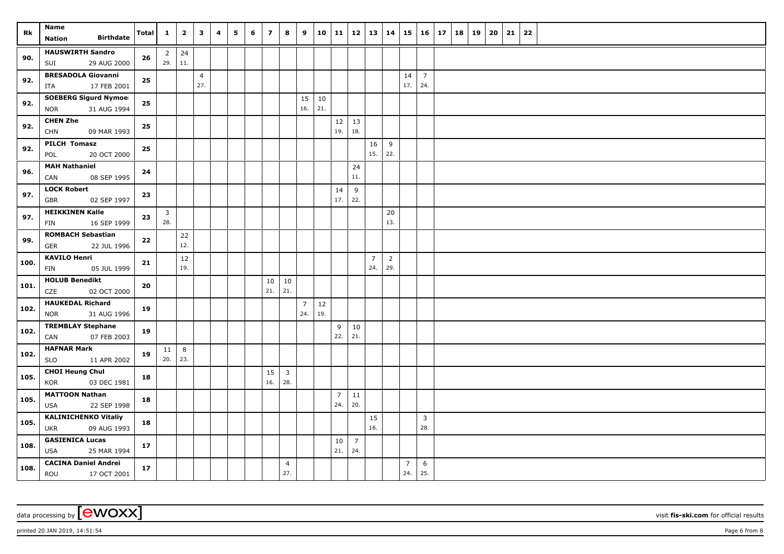| Rk   | <b>Name</b><br><b>Birthdate</b><br>Nation                 | Total | $\mathbf{1}$        | $\mathbf{2}$   | 3                     | 4 | 5 | 6 | $\overline{\mathbf{z}}$ | 8                              | 9                     | 10        | 11                    | 12                    | 13                    | 14                    | 15                    | $16 \mid 17$          | 18 | 19 | 20 | 21 | 22 |  |
|------|-----------------------------------------------------------|-------|---------------------|----------------|-----------------------|---|---|---|-------------------------|--------------------------------|-----------------------|-----------|-----------------------|-----------------------|-----------------------|-----------------------|-----------------------|-----------------------|----|----|----|----|----|--|
| 90.  | <b>HAUSWIRTH Sandro</b><br>SUI<br>29 AUG 2000             | 26    | 2<br>29.            | 24<br>11.      |                       |   |   |   |                         |                                |                       |           |                       |                       |                       |                       |                       |                       |    |    |    |    |    |  |
| 92.  | <b>BRESADOLA Giovanni</b><br>17 FEB 2001<br>ITA           | 25    |                     |                | $\overline{4}$<br>27. |   |   |   |                         |                                |                       |           |                       |                       |                       |                       | 14<br>17.             | $\overline{7}$<br>24. |    |    |    |    |    |  |
| 92.  | <b>SOEBERG Sigurd Nymoel</b><br>31 AUG 1994<br><b>NOR</b> | 25    |                     |                |                       |   |   |   |                         |                                | 15<br>16.             | 10<br>21. |                       |                       |                       |                       |                       |                       |    |    |    |    |    |  |
| 92.  | <b>CHEN Zhe</b><br><b>CHN</b><br>09 MAR 1993              | 25    |                     |                |                       |   |   |   |                         |                                |                       |           | 19.                   | $12 \mid 13$<br>18.   |                       |                       |                       |                       |    |    |    |    |    |  |
| 92.  | PILCH Tomasz<br>POL<br>20 OCT 2000                        | 25    |                     |                |                       |   |   |   |                         |                                |                       |           |                       |                       | 16<br>15.             | 9<br>22.              |                       |                       |    |    |    |    |    |  |
| 96.  | <b>MAH Nathaniel</b><br>CAN<br>08 SEP 1995                | 24    |                     |                |                       |   |   |   |                         |                                |                       |           |                       | 24<br>11.             |                       |                       |                       |                       |    |    |    |    |    |  |
| 97.  | <b>LOCK Robert</b><br>02 SEP 1997<br>GBR                  | 23    |                     |                |                       |   |   |   |                         |                                |                       |           | 14<br>17.             | 9<br>22.              |                       |                       |                       |                       |    |    |    |    |    |  |
| 97.  | <b>HEIKKINEN Kalle</b><br>16 SEP 1999<br>FIN              | 23    | $\mathbf{3}$<br>28. |                |                       |   |   |   |                         |                                |                       |           |                       |                       |                       | 20<br>13.             |                       |                       |    |    |    |    |    |  |
| 99.  | <b>ROMBACH Sebastian</b><br>GER<br>22 JUL 1996            | 22    |                     | 22<br>12.      |                       |   |   |   |                         |                                |                       |           |                       |                       |                       |                       |                       |                       |    |    |    |    |    |  |
| 100. | <b>KAVILO Henri</b><br>05 JUL 1999<br>FIN                 | 21    |                     | 12<br>19.      |                       |   |   |   |                         |                                |                       |           |                       |                       | $\overline{7}$<br>24. | $\overline{2}$<br>29. |                       |                       |    |    |    |    |    |  |
| 101. | <b>HOLUB Benedikt</b><br>02 OCT 2000<br>CZE               | 20    |                     |                |                       |   |   |   | 10<br>21.               | 10<br> 21.                     |                       |           |                       |                       |                       |                       |                       |                       |    |    |    |    |    |  |
| 102. | <b>HAUKEDAL Richard</b><br><b>NOR</b><br>31 AUG 1996      | 19    |                     |                |                       |   |   |   |                         |                                | $\overline{7}$<br>24. | 12<br>19. |                       |                       |                       |                       |                       |                       |    |    |    |    |    |  |
| 102. | <b>TREMBLAY Stephane</b><br>07 FEB 2003<br>CAN            | 19    |                     |                |                       |   |   |   |                         |                                |                       |           | 9<br>22.              | $10\,$<br>21.         |                       |                       |                       |                       |    |    |    |    |    |  |
| 102. | <b>HAFNAR Mark</b><br>11 APR 2002<br><b>SLO</b>           | 19    | 11<br>20.           | $\,8\,$<br>23. |                       |   |   |   |                         |                                |                       |           |                       |                       |                       |                       |                       |                       |    |    |    |    |    |  |
| 105. | <b>CHOI Heung Chul</b><br>03 DEC 1981<br>KOR              | 18    |                     |                |                       |   |   |   | 15<br>16.               | $\overline{\mathbf{3}}$<br>28. |                       |           |                       |                       |                       |                       |                       |                       |    |    |    |    |    |  |
| 105. | <b>MATTOON Nathan</b><br>22 SEP 1998<br><b>USA</b>        | 18    |                     |                |                       |   |   |   |                         |                                |                       |           | $\overline{7}$<br>24. | 11<br>20.             |                       |                       |                       |                       |    |    |    |    |    |  |
| 105. | <b>KALINICHENKO Vitaliy</b><br>09 AUG 1993<br><b>UKR</b>  | 18    |                     |                |                       |   |   |   |                         |                                |                       |           |                       |                       | 15<br>16.             |                       |                       | $\overline{3}$<br>28. |    |    |    |    |    |  |
| 108. | <b>GASIENICA Lucas</b><br><b>USA</b><br>25 MAR 1994       | 17    |                     |                |                       |   |   |   |                         |                                |                       |           | 10<br>21.             | $\overline{7}$<br>24. |                       |                       |                       |                       |    |    |    |    |    |  |
| 108. | <b>CACINA Daniel Andrei</b><br>ROU<br>17 OCT 2001         | 17    |                     |                |                       |   |   |   |                         | $\overline{4}$<br>27.          |                       |           |                       |                       |                       |                       | $\overline{7}$<br>24. | 6<br>25.              |    |    |    |    |    |  |

printed 20 JAN 2019, 14:51:54 **Page 6** from 8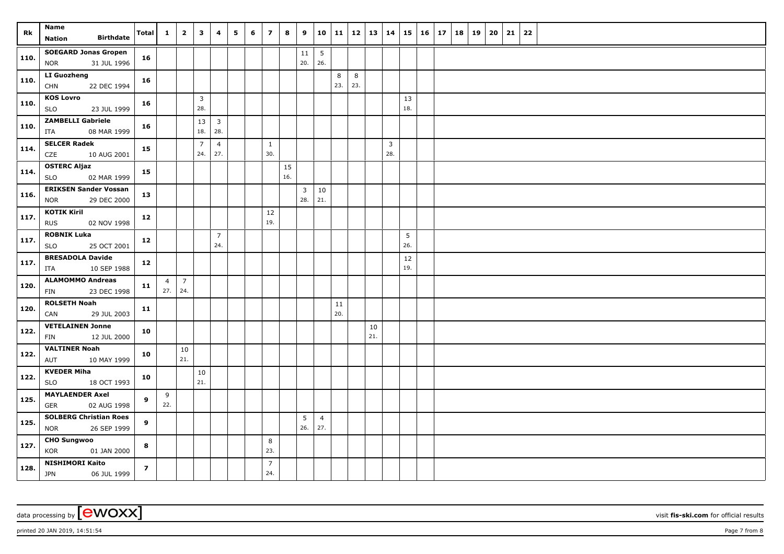| Rk   | <b>Name</b><br><b>Birthdate</b><br><b>Nation</b>           | Total          | $\mathbf{1}$          | $\overline{\mathbf{2}}$ | $\mathbf{3}$          | 4                     | 5 | 6 | $\overline{z}$        | 8         | 9                     | 10                     | 11        | 12   13   14 |           |                       | 15        | $16 \mid 17$ | 18 | 19 | 20 | 21 | 22 |  |
|------|------------------------------------------------------------|----------------|-----------------------|-------------------------|-----------------------|-----------------------|---|---|-----------------------|-----------|-----------------------|------------------------|-----------|--------------|-----------|-----------------------|-----------|--------------|----|----|----|----|----|--|
| 110. | <b>SOEGARD Jonas Gropen</b><br>31 JUL 1996<br><b>NOR</b>   | 16             |                       |                         |                       |                       |   |   |                       |           | 11<br>20.             | $5\phantom{.0}$<br>26. |           |              |           |                       |           |              |    |    |    |    |    |  |
| 110. | LI Guozheng<br>22 DEC 1994<br><b>CHN</b>                   | 16             |                       |                         |                       |                       |   |   |                       |           |                       |                        | 8<br>23.  | 8<br>23.     |           |                       |           |              |    |    |    |    |    |  |
| 110. | <b>KOS Lovro</b><br>SLO<br>23 JUL 1999                     | 16             |                       |                         | $\overline{3}$<br>28. |                       |   |   |                       |           |                       |                        |           |              |           |                       | 13<br>18. |              |    |    |    |    |    |  |
| 110. | <b>ZAMBELLI Gabriele</b><br>ITA<br>08 MAR 1999             | 16             |                       |                         | 13<br>18.             | $\overline{3}$<br>28. |   |   |                       |           |                       |                        |           |              |           |                       |           |              |    |    |    |    |    |  |
| 114. | <b>SELCER Radek</b><br>CZE<br>10 AUG 2001                  | 15             |                       |                         | $\overline{7}$<br>24. | $\overline{4}$<br>27. |   |   | $\mathbf{1}$<br>30.   |           |                       |                        |           |              |           | $\overline{3}$<br>28. |           |              |    |    |    |    |    |  |
| 114. | <b>OSTERC Aljaz</b><br><b>SLO</b><br>02 MAR 1999           | 15             |                       |                         |                       |                       |   |   |                       | 15<br>16. |                       |                        |           |              |           |                       |           |              |    |    |    |    |    |  |
| 116. | <b>ERIKSEN Sander Vossan</b><br>29 DEC 2000<br><b>NOR</b>  | 13             |                       |                         |                       |                       |   |   |                       |           | $\overline{3}$<br>28. | 10<br>21.              |           |              |           |                       |           |              |    |    |    |    |    |  |
| 117. | <b>KOTIK Kiril</b><br><b>RUS</b><br>02 NOV 1998            | 12             |                       |                         |                       |                       |   |   | 12<br>19.             |           |                       |                        |           |              |           |                       |           |              |    |    |    |    |    |  |
| 117. | <b>ROBNIK Luka</b><br><b>SLO</b><br>25 OCT 2001            | 12             |                       |                         |                       | $\overline{7}$<br>24. |   |   |                       |           |                       |                        |           |              |           |                       | 5<br>26.  |              |    |    |    |    |    |  |
| 117. | <b>BRESADOLA Davide</b><br>10 SEP 1988<br>ITA              | 12             |                       |                         |                       |                       |   |   |                       |           |                       |                        |           |              |           |                       | 12<br>19. |              |    |    |    |    |    |  |
| 120. | <b>ALAMOMMO Andreas</b><br>FIN<br>23 DEC 1998              | 11             | $\overline{4}$<br>27. | $\overline{7}$<br>24.   |                       |                       |   |   |                       |           |                       |                        |           |              |           |                       |           |              |    |    |    |    |    |  |
| 120. | <b>ROLSETH Noah</b><br>CAN<br>29 JUL 2003                  | 11             |                       |                         |                       |                       |   |   |                       |           |                       |                        | 11<br>20. |              |           |                       |           |              |    |    |    |    |    |  |
| 122. | <b>VETELAINEN Jonne</b><br>12 JUL 2000<br>FIN              | 10             |                       |                         |                       |                       |   |   |                       |           |                       |                        |           |              | 10<br>21. |                       |           |              |    |    |    |    |    |  |
| 122. | <b>VALTINER Noah</b><br>10 MAY 1999<br>AUT                 | 10             |                       | 10<br>21.               |                       |                       |   |   |                       |           |                       |                        |           |              |           |                       |           |              |    |    |    |    |    |  |
| 122. | <b>KVEDER Miha</b><br><b>SLO</b><br>18 OCT 1993            | 10             |                       |                         | 10<br>21.             |                       |   |   |                       |           |                       |                        |           |              |           |                       |           |              |    |    |    |    |    |  |
| 125. | <b>MAYLAENDER Axel</b><br><b>GER</b><br>02 AUG 1998        | 9              | 9<br>22.              |                         |                       |                       |   |   |                       |           |                       |                        |           |              |           |                       |           |              |    |    |    |    |    |  |
| 125. | <b>SOLBERG Christian Roes</b><br><b>NOR</b><br>26 SEP 1999 | 9              |                       |                         |                       |                       |   |   |                       |           | 5<br>26.              | $\overline{4}$<br>27.  |           |              |           |                       |           |              |    |    |    |    |    |  |
| 127. | <b>CHO Sungwoo</b><br>KOR<br>01 JAN 2000                   | 8              |                       |                         |                       |                       |   |   | 8<br>23.              |           |                       |                        |           |              |           |                       |           |              |    |    |    |    |    |  |
| 128. | <b>NISHIMORI Kaito</b><br><b>JPN</b><br>06 JUL 1999        | $\overline{z}$ |                       |                         |                       |                       |   |   | $\overline{7}$<br>24. |           |                       |                        |           |              |           |                       |           |              |    |    |    |    |    |  |